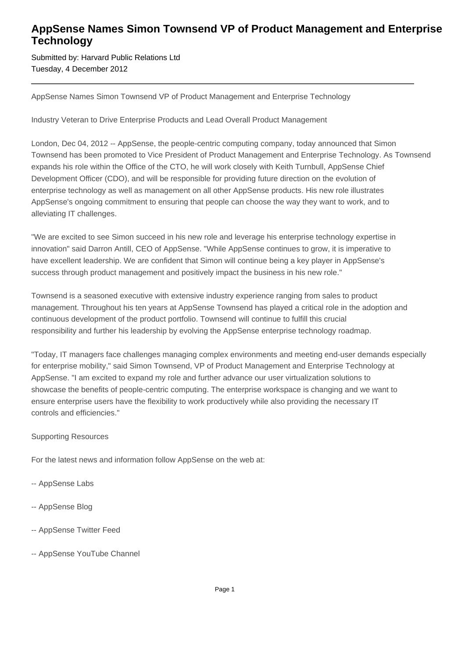## **AppSense Names Simon Townsend VP of Product Management and Enterprise Technology**

Submitted by: Harvard Public Relations Ltd Tuesday, 4 December 2012

AppSense Names Simon Townsend VP of Product Management and Enterprise Technology

Industry Veteran to Drive Enterprise Products and Lead Overall Product Management

London, Dec 04, 2012 -- AppSense, the people-centric computing company, today announced that Simon Townsend has been promoted to Vice President of Product Management and Enterprise Technology. As Townsend expands his role within the Office of the CTO, he will work closely with Keith Turnbull, AppSense Chief Development Officer (CDO), and will be responsible for providing future direction on the evolution of enterprise technology as well as management on all other AppSense products. His new role illustrates AppSense's ongoing commitment to ensuring that people can choose the way they want to work, and to alleviating IT challenges.

"We are excited to see Simon succeed in his new role and leverage his enterprise technology expertise in innovation" said Darron Antill, CEO of AppSense. "While AppSense continues to grow, it is imperative to have excellent leadership. We are confident that Simon will continue being a key player in AppSense's success through product management and positively impact the business in his new role."

Townsend is a seasoned executive with extensive industry experience ranging from sales to product management. Throughout his ten years at AppSense Townsend has played a critical role in the adoption and continuous development of the product portfolio. Townsend will continue to fulfill this crucial responsibility and further his leadership by evolving the AppSense enterprise technology roadmap.

"Today, IT managers face challenges managing complex environments and meeting end-user demands especially for enterprise mobility," said Simon Townsend, VP of Product Management and Enterprise Technology at AppSense. "I am excited to expand my role and further advance our user virtualization solutions to showcase the benefits of people-centric computing. The enterprise workspace is changing and we want to ensure enterprise users have the flexibility to work productively while also providing the necessary IT controls and efficiencies."

## Supporting Resources

For the latest news and information follow AppSense on the web at:

- -- AppSense Labs
- -- AppSense Blog
- -- AppSense Twitter Feed
- -- AppSense YouTube Channel